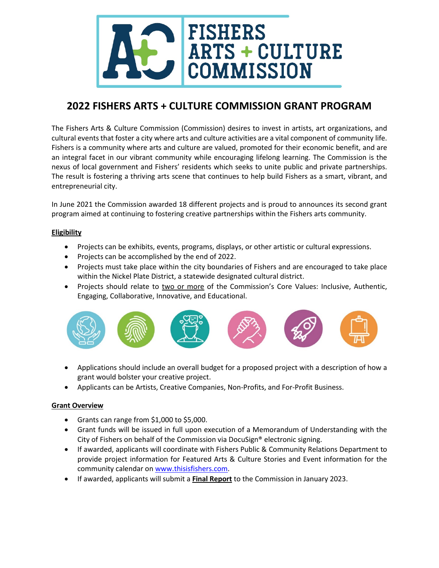

# **2022 FISHERS ARTS + CULTURE COMMISSION GRANT PROGRAM**

The Fishers Arts & Culture Commission (Commission) desires to invest in artists, art organizations, and cultural events that foster a city where arts and culture activities are a vital component of community life. Fishers is a community where arts and culture are valued, promoted for their economic benefit, and are an integral facet in our vibrant community while encouraging lifelong learning. The Commission is the nexus of local government and Fishers' residents which seeks to unite public and private partnerships. The result is fostering a thriving arts scene that continues to help build Fishers as a smart, vibrant, and entrepreneurial city.

In June 2021 the Commission awarded 18 different projects and is proud to announces its second grant program aimed at continuing to fostering creative partnerships within the Fishers arts community.

## **Eligibility**

- Projects can be exhibits, events, programs, displays, or other artistic or cultural expressions.
- Projects can be accomplished by the end of 2022.
- Projects must take place within the city boundaries of Fishers and are encouraged to take place within the Nickel Plate District, a statewide designated cultural district.
- Projects should relate to two or more of the Commission's Core Values: Inclusive, Authentic, Engaging, Collaborative, Innovative, and Educational.



- Applications should include an overall budget for a proposed project with a description of how a grant would bolster your creative project.
- Applicants can be Artists, Creative Companies, Non-Profits, and For-Profit Business.

### **Grant Overview**

- Grants can range from \$1,000 to \$5,000.
- Grant funds will be issued in full upon execution of a Memorandum of Understanding with the City of Fishers on behalf of the Commission via DocuSign® electronic signing.
- If awarded, applicants will coordinate with Fishers Public & Community Relations Department to provide project information for Featured Arts & Culture Stories and Event information for the community calendar on [www.thisisfishers.com.](http://www.thisisfishers.com/)
- If awarded, applicants will submit a **Final Report** to the Commission in January 2023.